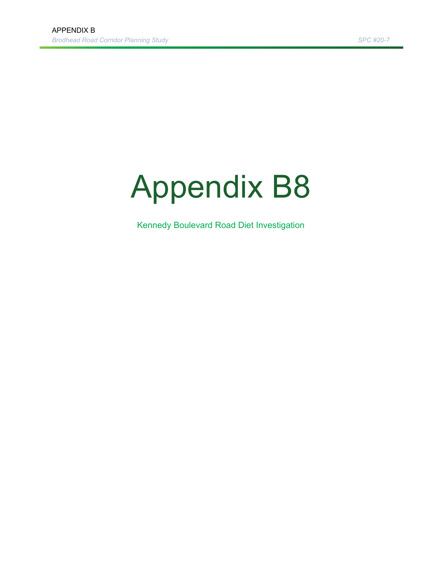## Appendix B8

Kennedy Boulevard Road Diet Investigation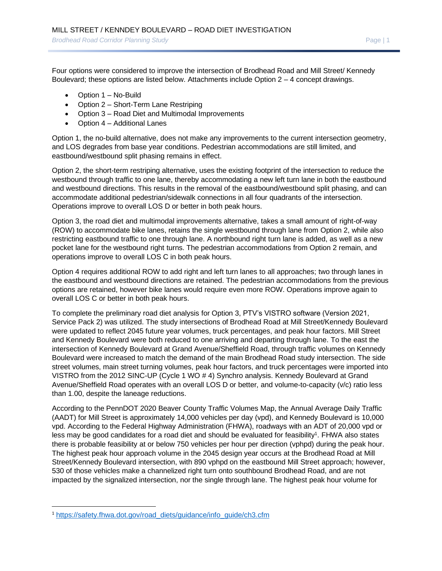Four options were considered to improve the intersection of Brodhead Road and Mill Street/ Kennedy Boulevard; these options are listed below. Attachments include Option  $2 - 4$  concept drawings.

- Option 1 No-Build
- Option 2 Short-Term Lane Restriping
- Option 3 Road Diet and Multimodal Improvements
- Option 4 Additional Lanes

Option 1, the no-build alternative, does not make any improvements to the current intersection geometry, and LOS degrades from base year conditions. Pedestrian accommodations are still limited, and eastbound/westbound split phasing remains in effect.

Option 2, the short-term restriping alternative, uses the existing footprint of the intersection to reduce the westbound through traffic to one lane, thereby accommodating a new left turn lane in both the eastbound and westbound directions. This results in the removal of the eastbound/westbound split phasing, and can accommodate additional pedestrian/sidewalk connections in all four quadrants of the intersection. Operations improve to overall LOS D or better in both peak hours.

Option 3, the road diet and multimodal improvements alternative, takes a small amount of right-of-way (ROW) to accommodate bike lanes, retains the single westbound through lane from Option 2, while also restricting eastbound traffic to one through lane. A northbound right turn lane is added, as well as a new pocket lane for the westbound right turns. The pedestrian accommodations from Option 2 remain, and operations improve to overall LOS C in both peak hours.

Option 4 requires additional ROW to add right and left turn lanes to all approaches; two through lanes in the eastbound and westbound directions are retained. The pedestrian accommodations from the previous options are retained, however bike lanes would require even more ROW. Operations improve again to overall LOS C or better in both peak hours.

To complete the preliminary road diet analysis for Option 3, PTV's VISTRO software (Version 2021, Service Pack 2) was utilized. The study intersections of Brodhead Road at Mill Street/Kennedy Boulevard were updated to reflect 2045 future year volumes, truck percentages, and peak hour factors. Mill Street and Kennedy Boulevard were both reduced to one arriving and departing through lane. To the east the intersection of Kennedy Boulevard at Grand Avenue/Sheffield Road, through traffic volumes on Kennedy Boulevard were increased to match the demand of the main Brodhead Road study intersection. The side street volumes, main street turning volumes, peak hour factors, and truck percentages were imported into VISTRO from the 2012 SINC-UP (Cycle 1 WO # 4) Synchro analysis. Kennedy Boulevard at Grand Avenue/Sheffield Road operates with an overall LOS D or better, and volume-to-capacity (v/c) ratio less than 1.00, despite the laneage reductions.

According to the PennDOT 2020 Beaver County Traffic Volumes Map, the Annual Average Daily Traffic (AADT) for Mill Street is approximately 14,000 vehicles per day (vpd), and Kennedy Boulevard is 10,000 vpd. According to the Federal Highway Administration (FHWA), roadways with an ADT of 20,000 vpd or less may be good candidates for a road diet and should be evaluated for feasibility<sup>1</sup>. FHWA also states there is probable feasibility at or below 750 vehicles per hour per direction (vphpd) during the peak hour. The highest peak hour approach volume in the 2045 design year occurs at the Brodhead Road at Mill Street/Kennedy Boulevard intersection, with 890 vphpd on the eastbound Mill Street approach; however, 530 of those vehicles make a channelized right turn onto southbound Brodhead Road, and are not impacted by the signalized intersection, nor the single through lane. The highest peak hour volume for

<sup>1</sup> https://safety.fhwa.dot.gov/road\_diets/guidance/info\_guide/ch3.cfm